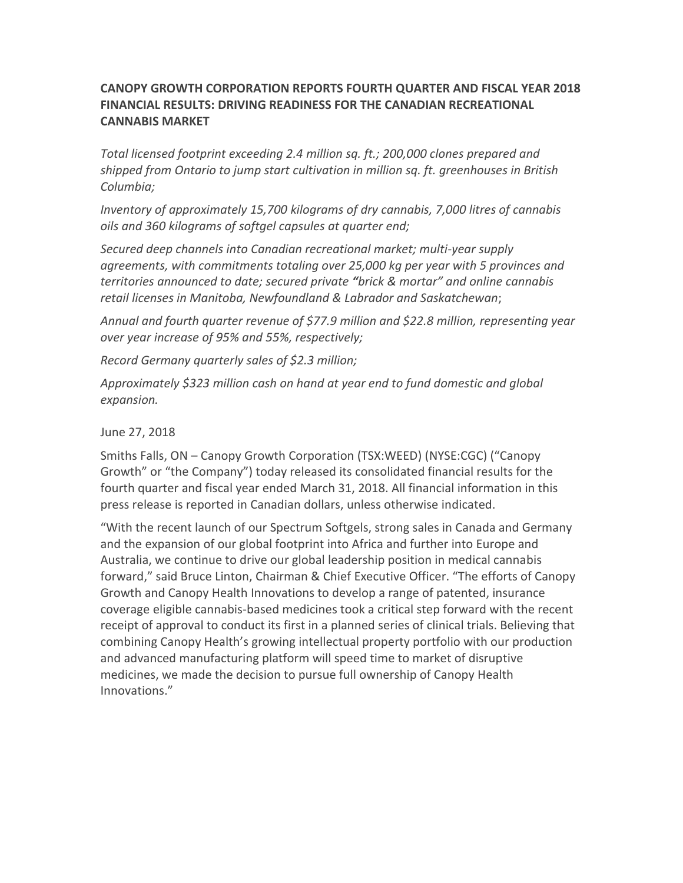# **CANOPY GROWTH CORPORATION REPORTS FOURTH QUARTER AND FISCAL YEAR 2018 FINANCIAL RESULTS: DRIVING READINESS FOR THE CANADIAN RECREATIONAL CANNABIS MARKET**

*Total licensed footprint exceeding 2.4 million sq. ft.; 200,000 clones prepared and shipped from Ontario to jump start cultivation in million sq. ft. greenhouses in British Columbia;*

*Inventory of approximately 15,700 kilograms of dry cannabis, 7,000 litres of cannabis oils and 360 kilograms of softgel capsules at quarter end;* 

*Secured deep channels into Canadian recreational market; multi-year supply agreements, with commitments totaling over 25,000 kg per year with 5 provinces and territories announced to date; secured private "brick & mortar" and online cannabis retail licenses in Manitoba, Newfoundland & Labrador and Saskatchewan*;

*Annual and fourth quarter revenue of \$77.9 million and \$22.8 million, representing year over year increase of 95% and 55%, respectively;*

*Record Germany quarterly sales of \$2.3 million;*

*Approximately \$323 million cash on hand at year end to fund domestic and global expansion.* 

June 27, 2018

Smiths Falls, ON – Canopy Growth Corporation (TSX:WEED) (NYSE:CGC) ("Canopy Growth" or "the Company") today released its consolidated financial results for the fourth quarter and fiscal year ended March 31, 2018. All financial information in this press release is reported in Canadian dollars, unless otherwise indicated.

"With the recent launch of our Spectrum Softgels, strong sales in Canada and Germany and the expansion of our global footprint into Africa and further into Europe and Australia, we continue to drive our global leadership position in medical cannabis forward," said Bruce Linton, Chairman & Chief Executive Officer. "The efforts of Canopy Growth and Canopy Health Innovations to develop a range of patented, insurance coverage eligible cannabis-based medicines took a critical step forward with the recent receipt of approval to conduct its first in a planned series of clinical trials. Believing that combining Canopy Health's growing intellectual property portfolio with our production and advanced manufacturing platform will speed time to market of disruptive medicines, we made the decision to pursue full ownership of Canopy Health Innovations."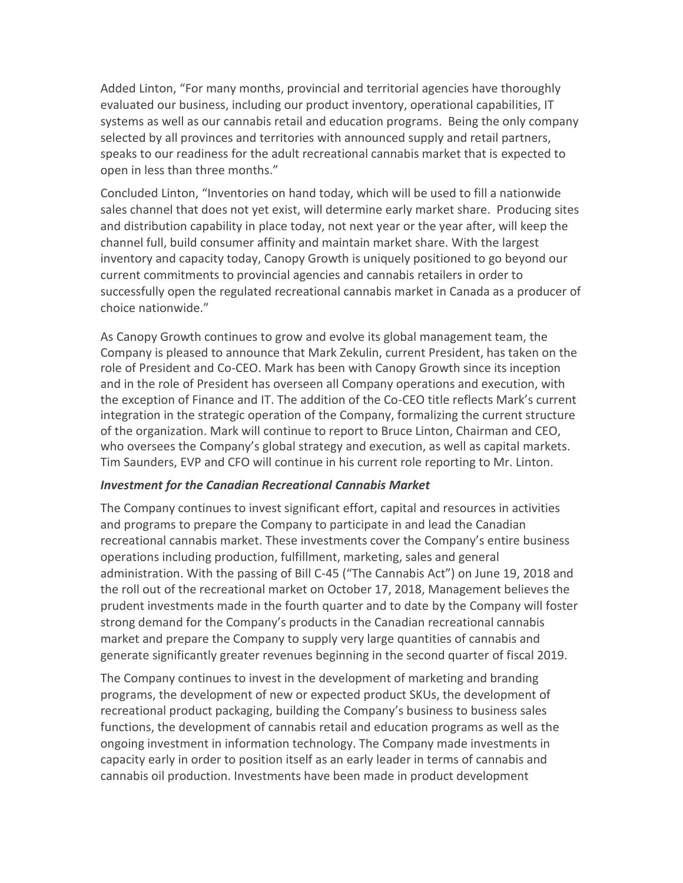Added Linton, "For many months, provincial and territorial agencies have thoroughly evaluated our business, including our product inventory, operational capabilities, IT systems as well as our cannabis retail and education programs. Being the only company selected by all provinces and territories with announced supply and retail partners, speaks to our readiness for the adult recreational cannabis market that is expected to open in less than three months."

Concluded Linton, "Inventories on hand today, which will be used to fill a nationwide sales channel that does not yet exist, will determine early market share. Producing sites and distribution capability in place today, not next year or the year after, will keep the channel full, build consumer affinity and maintain market share. With the largest inventory and capacity today, Canopy Growth is uniquely positioned to go beyond our current commitments to provincial agencies and cannabis retailers in order to successfully open the regulated recreational cannabis market in Canada as a producer of choice nationwide."

As Canopy Growth continues to grow and evolve its global management team, the Company is pleased to announce that Mark Zekulin, current President, has taken on the role of President and Co-CEO. Mark has been with Canopy Growth since its inception and in the role of President has overseen all Company operations and execution, with the exception of Finance and IT. The addition of the Co-CEO title reflects Mark's current integration in the strategic operation of the Company, formalizing the current structure of the organization. Mark will continue to report to Bruce Linton, Chairman and CEO, who oversees the Company's global strategy and execution, as well as capital markets. Tim Saunders, EVP and CFO will continue in his current role reporting to Mr. Linton.

## *Investment for the Canadian Recreational Cannabis Market*

The Company continues to invest significant effort, capital and resources in activities and programs to prepare the Company to participate in and lead the Canadian recreational cannabis market. These investments cover the Company's entire business operations including production, fulfillment, marketing, sales and general administration. With the passing of Bill C-45 ("The Cannabis Act") on June 19, 2018 and the roll out of the recreational market on October 17, 2018, Management believes the prudent investments made in the fourth quarter and to date by the Company will foster strong demand for the Company's products in the Canadian recreational cannabis market and prepare the Company to supply very large quantities of cannabis and generate significantly greater revenues beginning in the second quarter of fiscal 2019.

The Company continues to invest in the development of marketing and branding programs, the development of new or expected product SKUs, the development of recreational product packaging, building the Company's business to business sales functions, the development of cannabis retail and education programs as well as the ongoing investment in information technology. The Company made investments in capacity early in order to position itself as an early leader in terms of cannabis and cannabis oil production. Investments have been made in product development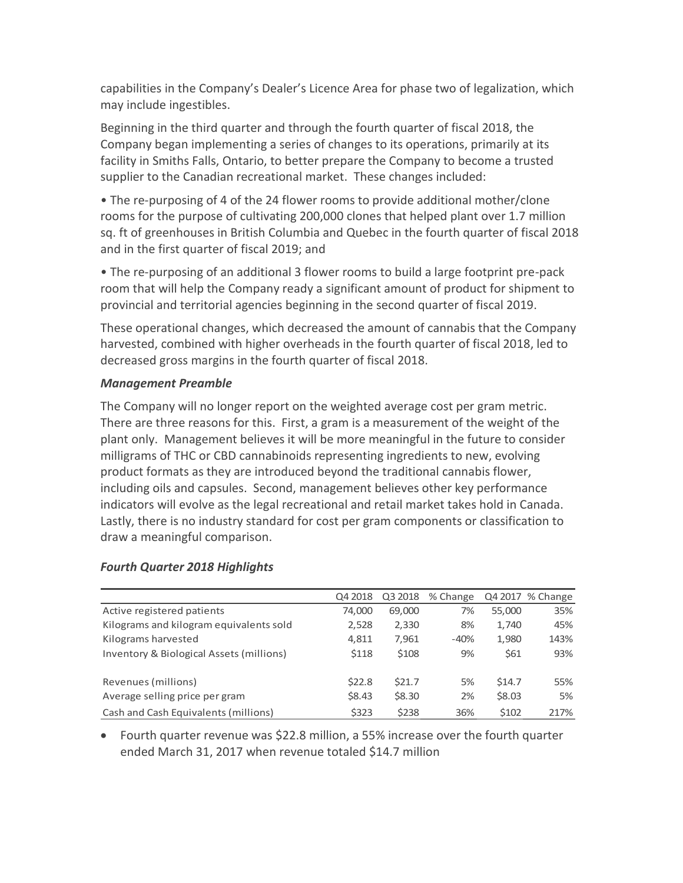capabilities in the Company's Dealer's Licence Area for phase two of legalization, which may include ingestibles.

Beginning in the third quarter and through the fourth quarter of fiscal 2018, the Company began implementing a series of changes to its operations, primarily at its facility in Smiths Falls, Ontario, to better prepare the Company to become a trusted supplier to the Canadian recreational market. These changes included:

• The re-purposing of 4 of the 24 flower rooms to provide additional mother/clone rooms for the purpose of cultivating 200,000 clones that helped plant over 1.7 million sq. ft of greenhouses in British Columbia and Quebec in the fourth quarter of fiscal 2018 and in the first quarter of fiscal 2019; and

• The re-purposing of an additional 3 flower rooms to build a large footprint pre-pack room that will help the Company ready a significant amount of product for shipment to provincial and territorial agencies beginning in the second quarter of fiscal 2019.

These operational changes, which decreased the amount of cannabis that the Company harvested, combined with higher overheads in the fourth quarter of fiscal 2018, led to decreased gross margins in the fourth quarter of fiscal 2018.

## *Management Preamble*

The Company will no longer report on the weighted average cost per gram metric. There are three reasons for this. First, a gram is a measurement of the weight of the plant only. Management believes it will be more meaningful in the future to consider milligrams of THC or CBD cannabinoids representing ingredients to new, evolving product formats as they are introduced beyond the traditional cannabis flower, including oils and capsules. Second, management believes other key performance indicators will evolve as the legal recreational and retail market takes hold in Canada. Lastly, there is no industry standard for cost per gram components or classification to draw a meaningful comparison.

|                                          | Q4 2018 | Q3 2018 | % Change |        | Q4 2017 % Change |
|------------------------------------------|---------|---------|----------|--------|------------------|
| Active registered patients               | 74,000  | 69,000  | 7%       | 55,000 | 35%              |
| Kilograms and kilogram equivalents sold  | 2,528   | 2,330   | 8%       | 1,740  | 45%              |
| Kilograms harvested                      | 4,811   | 7,961   | $-40%$   | 1,980  | 143%             |
| Inventory & Biological Assets (millions) | \$118   | \$108   | 9%       | \$61   | 93%              |
| Revenues (millions)                      | \$22.8  | \$21.7  | 5%       | \$14.7 | 55%              |
| Average selling price per gram           | \$8.43  | \$8.30  | 2%       | \$8.03 | 5%               |
| Cash and Cash Equivalents (millions)     | \$323   | \$238   | 36%      | \$102  | 217%             |

## *Fourth Quarter 2018 Highlights*

• Fourth quarter revenue was \$22.8 million, a 55% increase over the fourth quarter ended March 31, 2017 when revenue totaled \$14.7 million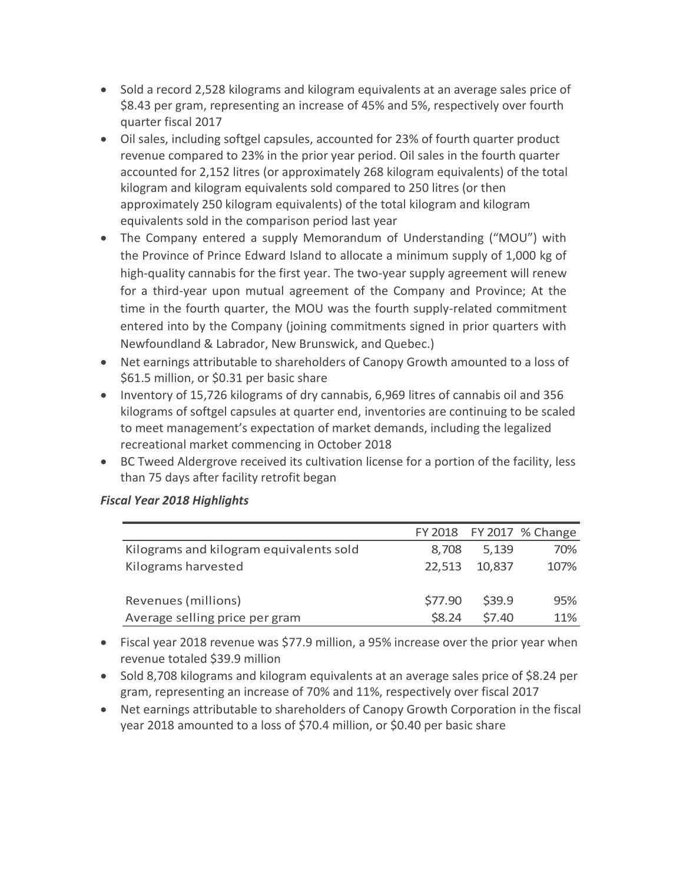- Sold a record 2,528 kilograms and kilogram equivalents at an average sales price of \$8.43 per gram, representing an increase of 45% and 5%, respectively over fourth quarter fiscal 2017
- Oil sales, including softgel capsules, accounted for 23% of fourth quarter product revenue compared to 23% in the prior year period. Oil sales in the fourth quarter accounted for 2,152 litres (or approximately 268 kilogram equivalents) of the total kilogram and kilogram equivalents sold compared to 250 litres (or then approximately 250 kilogram equivalents) of the total kilogram and kilogram equivalents sold in the comparison period last year
- The Company entered a supply Memorandum of Understanding ("MOU") with the Province of Prince Edward Island to allocate a minimum supply of 1,000 kg of high-quality cannabis for the first year. The two-year supply agreement will renew for a third-year upon mutual agreement of the Company and Province; At the time in the fourth quarter, the MOU was the fourth supply-related commitment entered into by the Company (joining commitments signed in prior quarters with Newfoundland & Labrador, New Brunswick, and Quebec.)
- Net earnings attributable to shareholders of Canopy Growth amounted to a loss of \$61.5 million, or \$0.31 per basic share
- Inventory of 15,726 kilograms of dry cannabis, 6,969 litres of cannabis oil and 356 kilograms of softgel capsules at quarter end, inventories are continuing to be scaled to meet management's expectation of market demands, including the legalized recreational market commencing in October 2018
- BC Tweed Aldergrove received its cultivation license for a portion of the facility, less than 75 days after facility retrofit began

|                                         |                   |        | FY 2018 FY 2017 % Change |
|-----------------------------------------|-------------------|--------|--------------------------|
| Kilograms and kilogram equivalents sold | 8.708             | 5,139  | 70%                      |
| Kilograms harvested                     | 22,513            | 10,837 | 107%                     |
|                                         |                   |        |                          |
| Revenues (millions)                     | S77.90            | \$39.9 | 95%                      |
| Average selling price per gram          | S <sub>8.24</sub> | \$7.40 | 11%                      |

# *Fiscal Year 2018 Highlights*

- Fiscal year 2018 revenue was \$77.9 million, a 95% increase over the prior year when revenue totaled \$39.9 million
- Sold 8,708 kilograms and kilogram equivalents at an average sales price of \$8.24 per gram, representing an increase of 70% and 11%, respectively over fiscal 2017
- Net earnings attributable to shareholders of Canopy Growth Corporation in the fiscal year 2018 amounted to a loss of \$70.4 million, or \$0.40 per basic share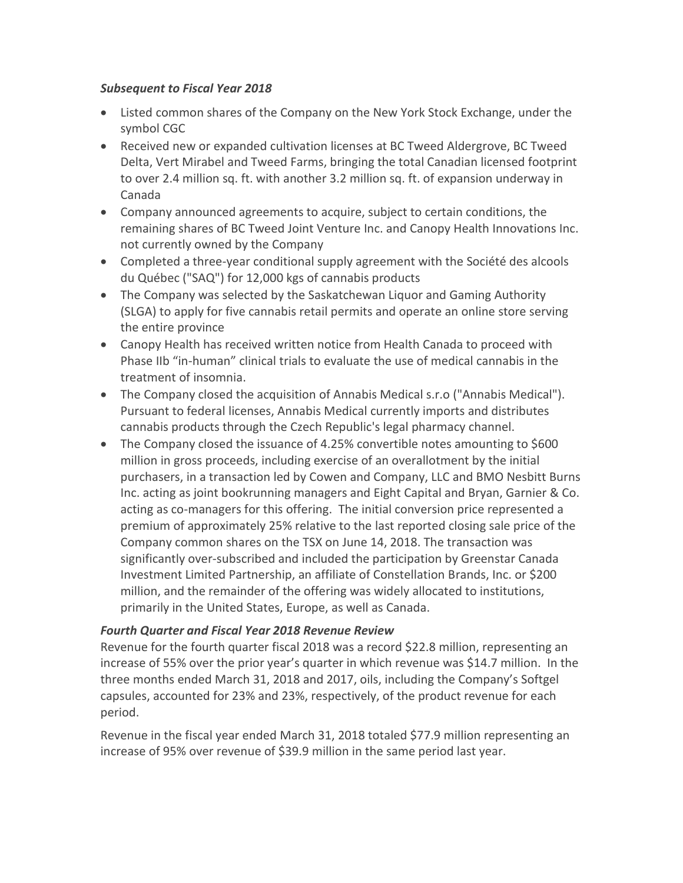## *Subsequent to Fiscal Year 2018*

- Listed common shares of the Company on the New York Stock Exchange, under the symbol CGC
- Received new or expanded cultivation licenses at BC Tweed Aldergrove, BC Tweed Delta, Vert Mirabel and Tweed Farms, bringing the total Canadian licensed footprint to over 2.4 million sq. ft. with another 3.2 million sq. ft. of expansion underway in Canada
- Company announced agreements to acquire, subject to certain conditions, the remaining shares of BC Tweed Joint Venture Inc. and Canopy Health Innovations Inc. not currently owned by the Company
- Completed a three-year conditional supply agreement with the Société des alcools du Québec ("SAQ") for 12,000 kgs of cannabis products
- The Company was selected by the Saskatchewan Liquor and Gaming Authority (SLGA) to apply for five cannabis retail permits and operate an online store serving the entire province
- Canopy Health has received written notice from Health Canada to proceed with Phase IIb "in-human" clinical trials to evaluate the use of medical cannabis in the treatment of insomnia.
- The Company closed the acquisition of Annabis Medical s.r.o ("Annabis Medical"). Pursuant to federal licenses, Annabis Medical currently imports and distributes cannabis products through the Czech Republic's legal pharmacy channel.
- The Company closed the issuance of 4.25% convertible notes amounting to \$600 million in gross proceeds, including exercise of an overallotment by the initial purchasers, in a transaction led by Cowen and Company, LLC and BMO Nesbitt Burns Inc. acting as joint bookrunning managers and Eight Capital and Bryan, Garnier & Co. acting as co-managers for this offering. The initial conversion price represented a premium of approximately 25% relative to the last reported closing sale price of the Company common shares on the TSX on June 14, 2018. The transaction was significantly over-subscribed and included the participation by Greenstar Canada Investment Limited Partnership, an affiliate of Constellation Brands, Inc. or \$200 million, and the remainder of the offering was widely allocated to institutions, primarily in the United States, Europe, as well as Canada.

# *Fourth Quarter and Fiscal Year 2018 Revenue Review*

Revenue for the fourth quarter fiscal 2018 was a record \$22.8 million, representing an increase of 55% over the prior year's quarter in which revenue was \$14.7 million. In the three months ended March 31, 2018 and 2017, oils, including the Company's Softgel capsules, accounted for 23% and 23%, respectively, of the product revenue for each period.

Revenue in the fiscal year ended March 31, 2018 totaled \$77.9 million representing an increase of 95% over revenue of \$39.9 million in the same period last year.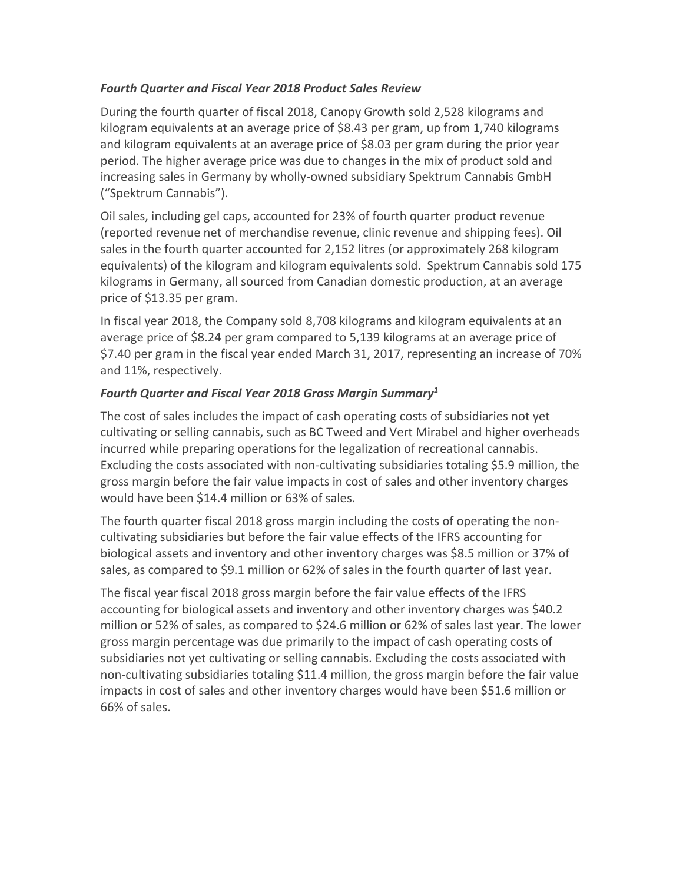# *Fourth Quarter and Fiscal Year 2018 Product Sales Review*

During the fourth quarter of fiscal 2018, Canopy Growth sold 2,528 kilograms and kilogram equivalents at an average price of \$8.43 per gram, up from 1,740 kilograms and kilogram equivalents at an average price of \$8.03 per gram during the prior year period. The higher average price was due to changes in the mix of product sold and increasing sales in Germany by wholly-owned subsidiary Spektrum Cannabis GmbH ("Spektrum Cannabis").

Oil sales, including gel caps, accounted for 23% of fourth quarter product revenue (reported revenue net of merchandise revenue, clinic revenue and shipping fees). Oil sales in the fourth quarter accounted for 2,152 litres (or approximately 268 kilogram equivalents) of the kilogram and kilogram equivalents sold. Spektrum Cannabis sold 175 kilograms in Germany, all sourced from Canadian domestic production, at an average price of \$13.35 per gram.

In fiscal year 2018, the Company sold 8,708 kilograms and kilogram equivalents at an average price of \$8.24 per gram compared to 5,139 kilograms at an average price of \$7.40 per gram in the fiscal year ended March 31, 2017, representing an increase of 70% and 11%, respectively.

# *Fourth Quarter and Fiscal Year 2018 Gross Margin Summary<sup>1</sup>*

The cost of sales includes the impact of cash operating costs of subsidiaries not yet cultivating or selling cannabis, such as BC Tweed and Vert Mirabel and higher overheads incurred while preparing operations for the legalization of recreational cannabis. Excluding the costs associated with non-cultivating subsidiaries totaling \$5.9 million, the gross margin before the fair value impacts in cost of sales and other inventory charges would have been \$14.4 million or 63% of sales.

The fourth quarter fiscal 2018 gross margin including the costs of operating the noncultivating subsidiaries but before the fair value effects of the IFRS accounting for biological assets and inventory and other inventory charges was \$8.5 million or 37% of sales, as compared to \$9.1 million or 62% of sales in the fourth quarter of last year.

The fiscal year fiscal 2018 gross margin before the fair value effects of the IFRS accounting for biological assets and inventory and other inventory charges was \$40.2 million or 52% of sales, as compared to \$24.6 million or 62% of sales last year. The lower gross margin percentage was due primarily to the impact of cash operating costs of subsidiaries not yet cultivating or selling cannabis. Excluding the costs associated with non-cultivating subsidiaries totaling \$11.4 million, the gross margin before the fair value impacts in cost of sales and other inventory charges would have been \$51.6 million or 66% of sales.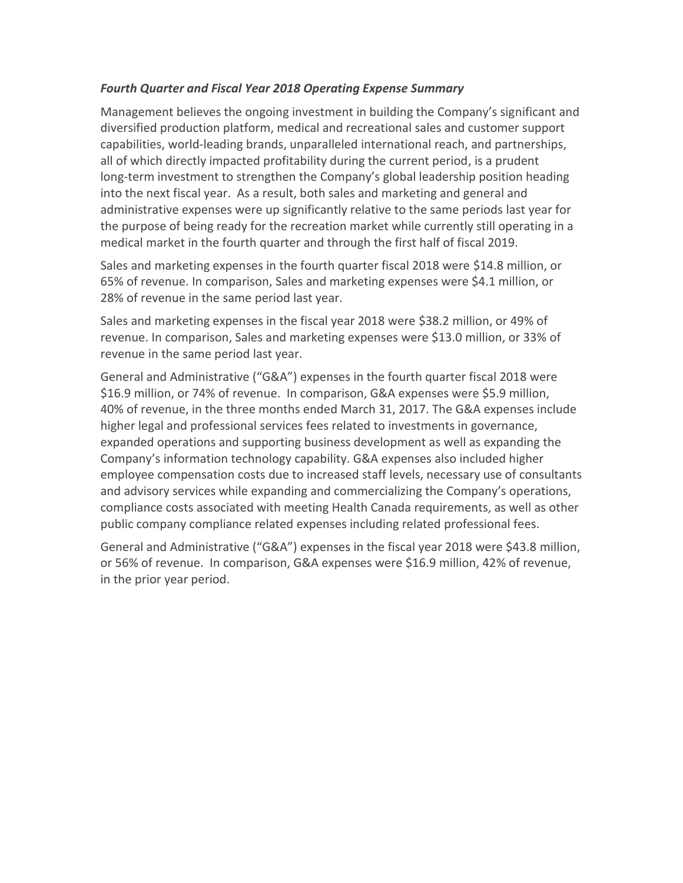## *Fourth Quarter and Fiscal Year 2018 Operating Expense Summary*

Management believes the ongoing investment in building the Company's significant and diversified production platform, medical and recreational sales and customer support capabilities, world-leading brands, unparalleled international reach, and partnerships, all of which directly impacted profitability during the current period, is a prudent long-term investment to strengthen the Company's global leadership position heading into the next fiscal year. As a result, both sales and marketing and general and administrative expenses were up significantly relative to the same periods last year for the purpose of being ready for the recreation market while currently still operating in a medical market in the fourth quarter and through the first half of fiscal 2019.

Sales and marketing expenses in the fourth quarter fiscal 2018 were \$14.8 million, or 65% of revenue. In comparison, Sales and marketing expenses were \$4.1 million, or 28% of revenue in the same period last year.

Sales and marketing expenses in the fiscal year 2018 were \$38.2 million, or 49% of revenue. In comparison, Sales and marketing expenses were \$13.0 million, or 33% of revenue in the same period last year.

General and Administrative ("G&A") expenses in the fourth quarter fiscal 2018 were \$16.9 million, or 74% of revenue. In comparison, G&A expenses were \$5.9 million, 40% of revenue, in the three months ended March 31, 2017. The G&A expenses include higher legal and professional services fees related to investments in governance, expanded operations and supporting business development as well as expanding the Company's information technology capability. G&A expenses also included higher employee compensation costs due to increased staff levels, necessary use of consultants and advisory services while expanding and commercializing the Company's operations, compliance costs associated with meeting Health Canada requirements, as well as other public company compliance related expenses including related professional fees.

General and Administrative ("G&A") expenses in the fiscal year 2018 were \$43.8 million, or 56% of revenue. In comparison, G&A expenses were \$16.9 million, 42% of revenue, in the prior year period.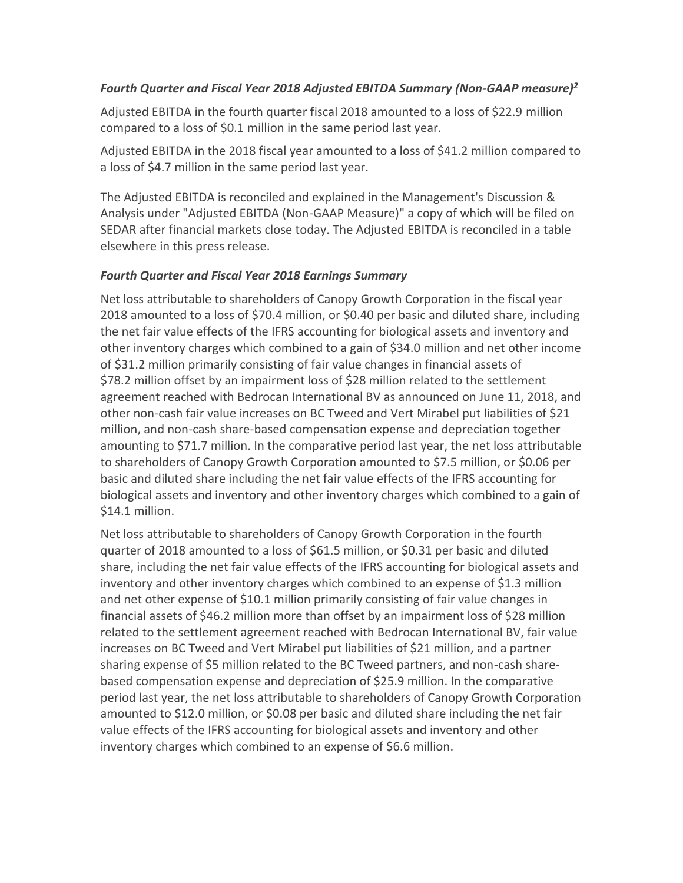# *Fourth Quarter and Fiscal Year 2018 Adjusted EBITDA Summary (Non-GAAP measure)<sup>2</sup>*

Adjusted EBITDA in the fourth quarter fiscal 2018 amounted to a loss of \$22.9 million compared to a loss of \$0.1 million in the same period last year.

Adjusted EBITDA in the 2018 fiscal year amounted to a loss of \$41.2 million compared to a loss of \$4.7 million in the same period last year.

The Adjusted EBITDA is reconciled and explained in the Management's Discussion & Analysis under "Adjusted EBITDA (Non-GAAP Measure)" a copy of which will be filed on SEDAR after financial markets close today. The Adjusted EBITDA is reconciled in a table elsewhere in this press release.

# *Fourth Quarter and Fiscal Year 2018 Earnings Summary*

Net loss attributable to shareholders of Canopy Growth Corporation in the fiscal year 2018 amounted to a loss of \$70.4 million, or \$0.40 per basic and diluted share, including the net fair value effects of the IFRS accounting for biological assets and inventory and other inventory charges which combined to a gain of \$34.0 million and net other income of \$31.2 million primarily consisting of fair value changes in financial assets of \$78.2 million offset by an impairment loss of \$28 million related to the settlement agreement reached with Bedrocan International BV as announced on June 11, 2018, and other non-cash fair value increases on BC Tweed and Vert Mirabel put liabilities of \$21 million, and non-cash share-based compensation expense and depreciation together amounting to \$71.7 million. In the comparative period last year, the net loss attributable to shareholders of Canopy Growth Corporation amounted to \$7.5 million, or \$0.06 per basic and diluted share including the net fair value effects of the IFRS accounting for biological assets and inventory and other inventory charges which combined to a gain of \$14.1 million.

Net loss attributable to shareholders of Canopy Growth Corporation in the fourth quarter of 2018 amounted to a loss of \$61.5 million, or \$0.31 per basic and diluted share, including the net fair value effects of the IFRS accounting for biological assets and inventory and other inventory charges which combined to an expense of \$1.3 million and net other expense of \$10.1 million primarily consisting of fair value changes in financial assets of \$46.2 million more than offset by an impairment loss of \$28 million related to the settlement agreement reached with Bedrocan International BV, fair value increases on BC Tweed and Vert Mirabel put liabilities of \$21 million, and a partner sharing expense of \$5 million related to the BC Tweed partners, and non-cash sharebased compensation expense and depreciation of \$25.9 million. In the comparative period last year, the net loss attributable to shareholders of Canopy Growth Corporation amounted to \$12.0 million, or \$0.08 per basic and diluted share including the net fair value effects of the IFRS accounting for biological assets and inventory and other inventory charges which combined to an expense of \$6.6 million.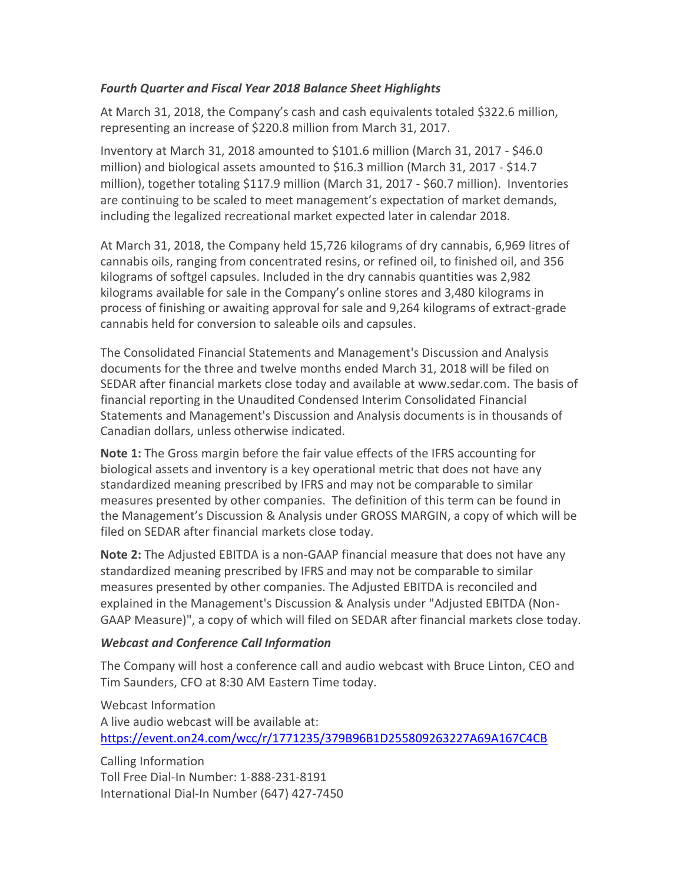## *Fourth Quarter and Fiscal Year 2018 Balance Sheet Highlights*

At March 31, 2018, the Company's cash and cash equivalents totaled \$322.6 million, representing an increase of \$220.8 million from March 31, 2017.

Inventory at March 31, 2018 amounted to \$101.6 million (March 31, 2017 - \$46.0 million) and biological assets amounted to \$16.3 million (March 31, 2017 - \$14.7 million), together totaling \$117.9 million (March 31, 2017 - \$60.7 million). Inventories are continuing to be scaled to meet management's expectation of market demands, including the legalized recreational market expected later in calendar 2018.

At March 31, 2018, the Company held 15,726 kilograms of dry cannabis, 6,969 litres of cannabis oils, ranging from concentrated resins, or refined oil, to finished oil, and 356 kilograms of softgel capsules. Included in the dry cannabis quantities was 2,982 kilograms available for sale in the Company's online stores and 3,480 kilograms in process of finishing or awaiting approval for sale and 9,264 kilograms of extract-grade cannabis held for conversion to saleable oils and capsules.

The Consolidated Financial Statements and Management's Discussion and Analysis documents for the three and twelve months ended March 31, 2018 will be filed on SEDAR after financial markets close today and available at www.sedar.com. The basis of financial reporting in the Unaudited Condensed Interim Consolidated Financial Statements and Management's Discussion and Analysis documents is in thousands of Canadian dollars, unless otherwise indicated.

**Note 1:** The Gross margin before the fair value effects of the IFRS accounting for biological assets and inventory is a key operational metric that does not have any standardized meaning prescribed by IFRS and may not be comparable to similar measures presented by other companies. The definition of this term can be found in the Management's Discussion & Analysis under GROSS MARGIN, a copy of which will be filed on SEDAR after financial markets close today.

**Note 2:** The Adjusted EBITDA is a non-GAAP financial measure that does not have any standardized meaning prescribed by IFRS and may not be comparable to similar measures presented by other companies. The Adjusted EBITDA is reconciled and explained in the Management's Discussion & Analysis under "Adjusted EBITDA (Non-GAAP Measure)", a copy of which will filed on SEDAR after financial markets close today.

# *Webcast and Conference Call Information*

The Company will host a conference call and audio webcast with Bruce Linton, CEO and Tim Saunders, CFO at 8:30 AM Eastern Time today.

Webcast Information A live audio webcast will be available at: <https://event.on24.com/wcc/r/1771235/379B96B1D255809263227A69A167C4CB>

Calling Information Toll Free Dial-In Number: 1-888-231-8191 International Dial-In Number (647) 427-7450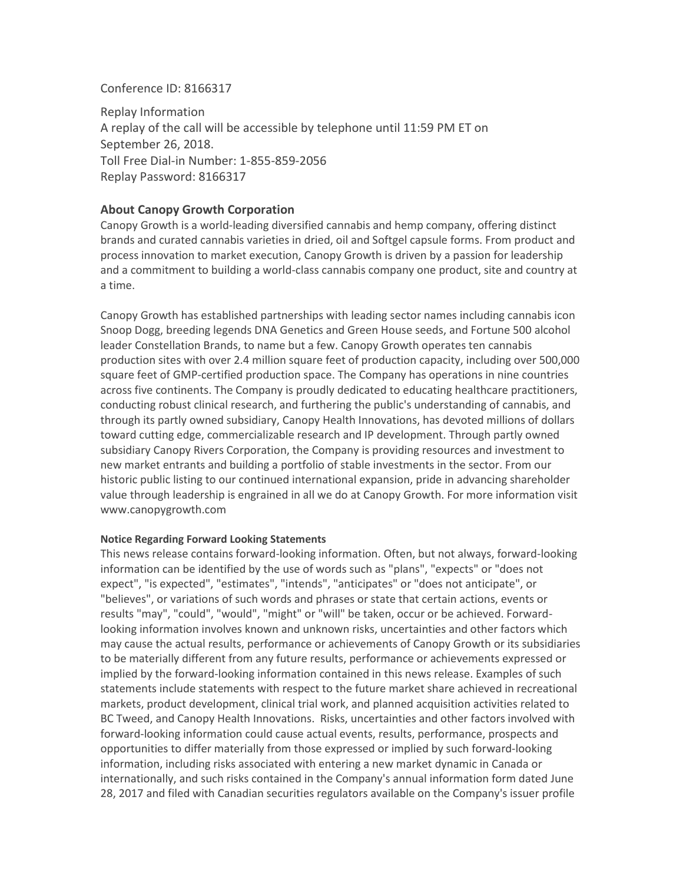#### Conference ID: 8166317

Replay Information A replay of the call will be accessible by telephone until 11:59 PM ET on September 26, 2018. Toll Free Dial-in Number: 1-855-859-2056 Replay Password: 8166317

### **About Canopy Growth Corporation**

Canopy Growth is a world-leading diversified cannabis and hemp company, offering distinct brands and curated cannabis varieties in dried, oil and Softgel capsule forms. From product and process innovation to market execution, Canopy Growth is driven by a passion for leadership and a commitment to building a world-class cannabis company one product, site and country at a time.

Canopy Growth has established partnerships with leading sector names including cannabis icon Snoop Dogg, breeding legends DNA Genetics and Green House seeds, and Fortune 500 alcohol leader Constellation Brands, to name but a few. Canopy Growth operates ten cannabis production sites with over 2.4 million square feet of production capacity, including over 500,000 square feet of GMP-certified production space. The Company has operations in nine countries across five continents. The Company is proudly dedicated to educating healthcare practitioners, conducting robust clinical research, and furthering the public's understanding of cannabis, and through its partly owned subsidiary, Canopy Health Innovations, has devoted millions of dollars toward cutting edge, commercializable research and IP development. Through partly owned subsidiary Canopy Rivers Corporation, the Company is providing resources and investment to new market entrants and building a portfolio of stable investments in the sector. From our historic public listing to our continued international expansion, pride in advancing shareholder value through leadership is engrained in all we do at Canopy Growth. For more information visit www.canopygrowth.com

#### **Notice Regarding Forward Looking Statements**

This news release contains forward-looking information. Often, but not always, forward-looking information can be identified by the use of words such as "plans", "expects" or "does not expect", "is expected", "estimates", "intends", "anticipates" or "does not anticipate", or "believes", or variations of such words and phrases or state that certain actions, events or results "may", "could", "would", "might" or "will" be taken, occur or be achieved. Forwardlooking information involves known and unknown risks, uncertainties and other factors which may cause the actual results, performance or achievements of Canopy Growth or its subsidiaries to be materially different from any future results, performance or achievements expressed or implied by the forward-looking information contained in this news release. Examples of such statements include statements with respect to the future market share achieved in recreational markets, product development, clinical trial work, and planned acquisition activities related to BC Tweed, and Canopy Health Innovations. Risks, uncertainties and other factors involved with forward-looking information could cause actual events, results, performance, prospects and opportunities to differ materially from those expressed or implied by such forward-looking information, including risks associated with entering a new market dynamic in Canada or internationally, and such risks contained in the Company's annual information form dated June 28, 2017 and filed with Canadian securities regulators available on the Company's issuer profile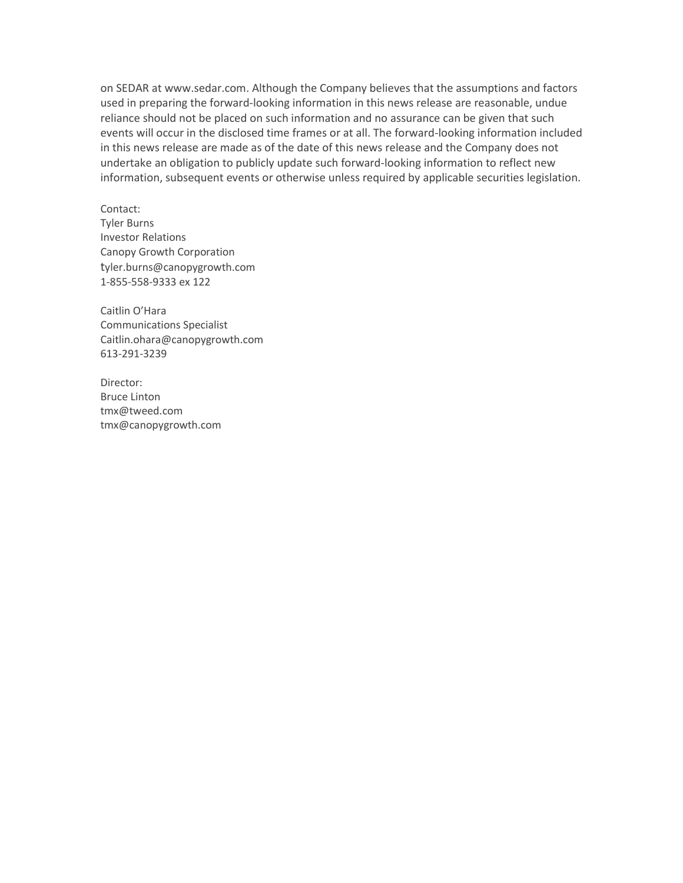on SEDAR at [www.sedar.com.](https://www.sedar.com/) Although the Company believes that the assumptions and factors used in preparing the forward-looking information in this news release are reasonable, undue reliance should not be placed on such information and no assurance can be given that such events will occur in the disclosed time frames or at all. The forward-looking information included in this news release are made as of the date of this news release and the Company does not undertake an obligation to publicly update such forward-looking information to reflect new information, subsequent events or otherwise unless required by applicable securities legislation.

Contact: Tyler Burns Investor Relations Canopy Growth Corporation tyler.burns@canopygrowth.com 1-855-558-9333 ex 122

Caitlin O'Hara Communications Specialist Caitlin.ohara@canopygrowth.com 613-291-3239

Director: Bruce Linton [tmx@tweed.com](mailto:tmx@tweed.com) [tmx@canopygrowth.com](mailto:tmx@canopygrowth.com)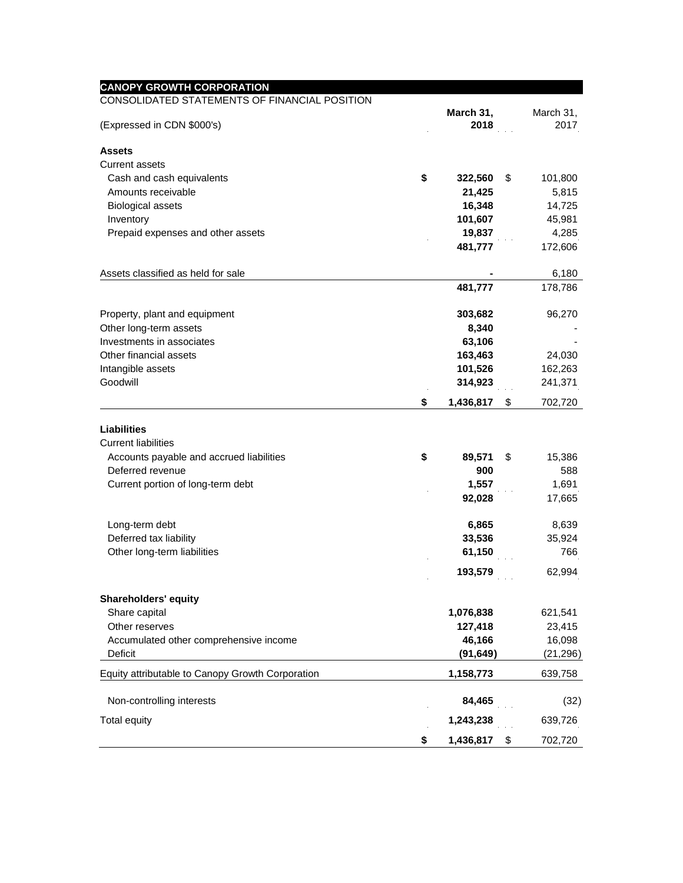| <b>CANOPY GROWTH CORPORATION</b>                 |                 |               |
|--------------------------------------------------|-----------------|---------------|
| CONSOLIDATED STATEMENTS OF FINANCIAL POSITION    | March 31,       | March 31,     |
| (Expressed in CDN \$000's)                       | 2018            | 2017          |
|                                                  |                 |               |
| <b>Assets</b>                                    |                 |               |
| Current assets                                   |                 |               |
| Cash and cash equivalents                        | \$<br>322,560   | \$<br>101,800 |
| Amounts receivable                               | 21,425          | 5,815         |
| <b>Biological assets</b>                         | 16,348          | 14,725        |
| Inventory                                        | 101,607         | 45,981        |
| Prepaid expenses and other assets                | 19,837          | 4,285         |
|                                                  | 481,777         | 172,606       |
| Assets classified as held for sale               |                 | 6,180         |
|                                                  | 481,777         | 178,786       |
| Property, plant and equipment                    | 303,682         | 96,270        |
| Other long-term assets                           | 8,340           |               |
| Investments in associates                        | 63,106          |               |
| Other financial assets                           | 163,463         | 24,030        |
| Intangible assets                                | 101,526         | 162,263       |
| Goodwill                                         | 314,923         | 241,371       |
|                                                  | \$<br>1,436,817 | \$<br>702,720 |
|                                                  |                 |               |
| <b>Liabilities</b><br><b>Current liabilities</b> |                 |               |
| Accounts payable and accrued liabilities         | \$<br>89,571    | \$<br>15,386  |
| Deferred revenue                                 | 900             | 588           |
| Current portion of long-term debt                | 1,557           | 1,691         |
|                                                  | 92,028          | 17,665        |
|                                                  |                 |               |
| Long-term debt                                   | 6,865           | 8,639         |
| Deferred tax liability                           | 33,536          | 35,924        |
| Other long-term liabilities                      | 61,150          | 766           |
|                                                  | 193,579         | 62,994        |
| <b>Shareholders' equity</b>                      |                 |               |
| Share capital                                    | 1,076,838       | 621,541       |
| Other reserves                                   | 127,418         | 23,415        |
| Accumulated other comprehensive income           | 46,166          | 16,098        |
| Deficit                                          | (91, 649)       | (21, 296)     |
| Equity attributable to Canopy Growth Corporation | 1,158,773       | 639,758       |
| Non-controlling interests                        | 84,465          | (32)          |
| <b>Total equity</b>                              | 1,243,238       | 639,726       |
|                                                  |                 |               |
|                                                  | \$<br>1,436,817 | \$<br>702,720 |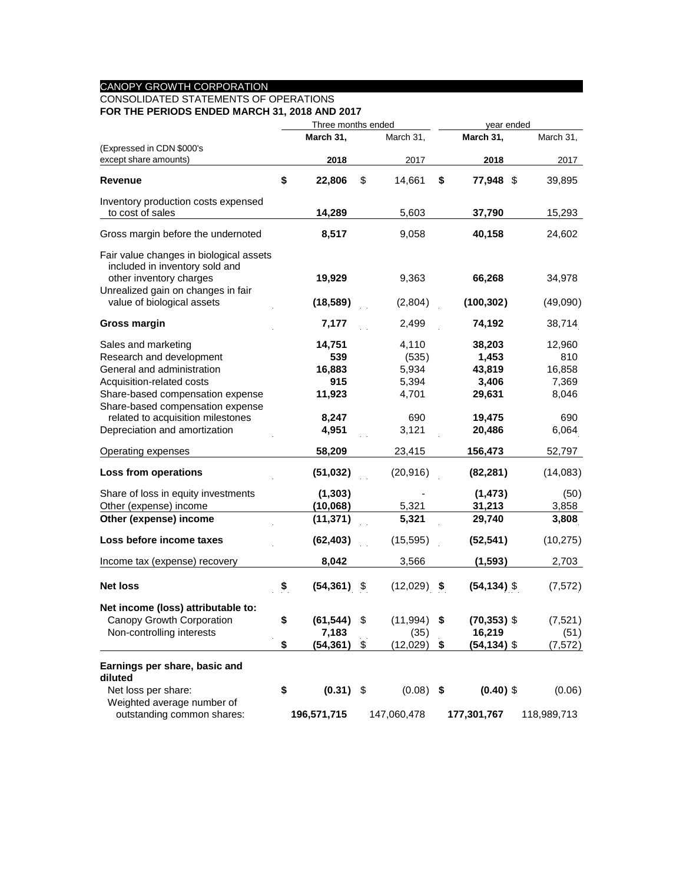#### CANOPY GROWTH CORPORATION

# CONSOLIDATED STATEMENTS OF OPERATIONS

**FOR THE PERIODS ENDED MARCH 31, 2018 AND 2017**

|                                                           | Three months ended |                | year ended     |                      |             |
|-----------------------------------------------------------|--------------------|----------------|----------------|----------------------|-------------|
|                                                           |                    | March 31,      | March 31,      | March 31,            | March 31,   |
| (Expressed in CDN \$000's                                 |                    |                |                |                      |             |
| except share amounts)                                     |                    | 2018           | 2017           | 2018                 | 2017        |
| Revenue                                                   | \$                 | 22,806         | \$<br>14,661   | \$<br>77,948 \$      | 39,895      |
| Inventory production costs expensed                       |                    |                |                |                      |             |
| to cost of sales                                          |                    | 14,289         | 5,603          | 37,790               | 15,293      |
| Gross margin before the undernoted                        |                    | 8,517          | 9,058          | 40,158               | 24,602      |
| Fair value changes in biological assets                   |                    |                |                |                      |             |
| included in inventory sold and<br>other inventory charges |                    | 19,929         | 9,363          | 66,268               | 34,978      |
| Unrealized gain on changes in fair                        |                    |                |                |                      |             |
| value of biological assets                                |                    | (18, 589)      | (2,804)        | (100, 302)           | (49,090)    |
| <b>Gross margin</b>                                       |                    | 7,177          | 2,499          | 74,192               | 38,714      |
| Sales and marketing                                       |                    | 14,751         | 4,110          | 38,203               | 12,960      |
| Research and development                                  |                    | 539            | (535)          | 1,453                | 810         |
| General and administration                                |                    | 16,883         | 5,934          | 43,819               | 16,858      |
| Acquisition-related costs                                 |                    | 915            | 5,394          | 3,406                | 7,369       |
| Share-based compensation expense                          |                    | 11,923         | 4,701          | 29,631               | 8,046       |
| Share-based compensation expense                          |                    |                |                |                      |             |
| related to acquisition milestones                         |                    | 8,247          | 690            | 19,475               | 690         |
| Depreciation and amortization                             |                    | 4,951          | 3,121          | 20,486               | 6,064       |
| Operating expenses                                        |                    | 58,209         | 23,415         | 156,473              | 52,797      |
| Loss from operations                                      |                    | (51, 032)      | (20,916)       | (82, 281)            | (14,083)    |
| Share of loss in equity investments                       |                    | (1, 303)       |                | (1, 473)             | (50)        |
| Other (expense) income                                    |                    | (10,068)       | 5,321          | 31,213               | 3,858       |
| Other (expense) income                                    |                    | (11, 371)      | 5,321          | 29,740               | 3,808       |
| Loss before income taxes                                  |                    | (62, 403)      | (15, 595)      | (52, 541)            | (10, 275)   |
| Income tax (expense) recovery                             |                    | 8,042          | 3,566          | (1, 593)             | 2,703       |
|                                                           |                    |                |                |                      |             |
| <b>Net loss</b>                                           | \$                 | (54, 361)      | \$<br>(12,029) | \$<br>$(54, 134)$ \$ | (7, 572)    |
| Net income (loss) attributable to:                        |                    |                |                |                      |             |
| Canopy Growth Corporation                                 | \$                 | $(61, 544)$ \$ | $(11,994)$ \$  | $(70, 353)$ \$       | (7, 521)    |
| Non-controlling interests                                 |                    | 7,183          | (35)           | 16,219               | (51)        |
|                                                           | \$                 | (54, 361)      | \$<br>(12,029) | \$<br>$(54, 134)$ \$ | (7, 572)    |
| Earnings per share, basic and<br>diluted                  |                    |                |                |                      |             |
| Net loss per share:                                       | \$                 | $(0.31)$ \$    | $(0.08)$ \$    | $(0.40)$ \$          | (0.06)      |
| Weighted average number of                                |                    |                |                |                      |             |
| outstanding common shares:                                |                    | 196,571,715    | 147,060,478    | 177,301,767          | 118,989,713 |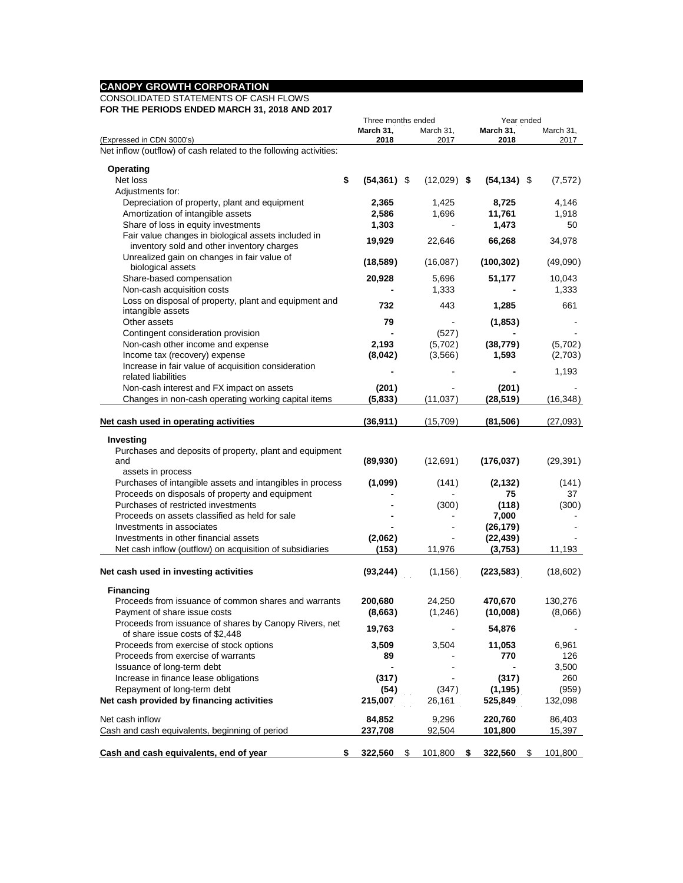#### **CANOPY GROWTH CORPORATION**

#### CONSOLIDATED STATEMENTS OF CASH FLOWS **FOR THE PERIODS ENDED MARCH 31, 2018 AND 2017**

| IN THE FENIODS ENDED MANGH 31, 2010 AND 2017                      | Three months ended   |    |               |   | Year ended     |    |           |  |  |  |
|-------------------------------------------------------------------|----------------------|----|---------------|---|----------------|----|-----------|--|--|--|
|                                                                   |                      |    |               |   |                |    |           |  |  |  |
|                                                                   | March 31,            |    | March 31,     |   | March 31,      |    | March 31, |  |  |  |
| (Expressed in CDN \$000's)                                        | 2018                 |    | 2017          |   | 2018           |    | 2017      |  |  |  |
| Net inflow (outflow) of cash related to the following activities: |                      |    |               |   |                |    |           |  |  |  |
| <b>Operating</b>                                                  |                      |    |               |   |                |    |           |  |  |  |
| Net loss                                                          | \$<br>$(54, 361)$ \$ |    |               |   |                |    |           |  |  |  |
|                                                                   |                      |    | $(12,029)$ \$ |   | $(54, 134)$ \$ |    | (7,572)   |  |  |  |
| Adjustments for:                                                  |                      |    |               |   |                |    |           |  |  |  |
| Depreciation of property, plant and equipment                     | 2,365                |    | 1,425         |   | 8,725          |    | 4,146     |  |  |  |
| Amortization of intangible assets                                 | 2,586                |    | 1,696         |   | 11,761         |    | 1,918     |  |  |  |
| Share of loss in equity investments                               | 1,303                |    |               |   | 1,473          |    | 50        |  |  |  |
| Fair value changes in biological assets included in               |                      |    |               |   |                |    |           |  |  |  |
| inventory sold and other inventory charges                        | 19,929               |    | 22,646        |   | 66,268         |    | 34,978    |  |  |  |
| Unrealized gain on changes in fair value of                       |                      |    |               |   |                |    |           |  |  |  |
| biological assets                                                 | (18, 589)            |    | (16,087)      |   | (100, 302)     |    | (49,090)  |  |  |  |
| Share-based compensation                                          |                      |    |               |   |                |    |           |  |  |  |
|                                                                   | 20,928               |    | 5,696         |   | 51,177         |    | 10,043    |  |  |  |
| Non-cash acquisition costs                                        |                      |    | 1,333         |   |                |    | 1,333     |  |  |  |
| Loss on disposal of property, plant and equipment and             | 732                  |    | 443           |   | 1,285          |    | 661       |  |  |  |
| intangible assets                                                 |                      |    |               |   |                |    |           |  |  |  |
| Other assets                                                      | 79                   |    |               |   | (1, 853)       |    |           |  |  |  |
| Contingent consideration provision                                |                      |    | (527)         |   |                |    |           |  |  |  |
| Non-cash other income and expense                                 | 2,193                |    | (5,702)       |   | (38, 779)      |    | (5,702)   |  |  |  |
| Income tax (recovery) expense                                     | (8,042)              |    | (3, 566)      |   | 1,593          |    | (2,703)   |  |  |  |
| Increase in fair value of acquisition consideration               |                      |    |               |   |                |    |           |  |  |  |
|                                                                   |                      |    |               |   |                |    | 1,193     |  |  |  |
| related liabilities                                               |                      |    |               |   |                |    |           |  |  |  |
| Non-cash interest and FX impact on assets                         | (201)                |    |               |   | (201)          |    |           |  |  |  |
| Changes in non-cash operating working capital items               | (5,833)              |    | (11, 037)     |   | (28, 519)      |    | (16, 348) |  |  |  |
|                                                                   |                      |    |               |   |                |    |           |  |  |  |
| Net cash used in operating activities                             | (36, 911)            |    | (15,709)      |   | (81, 506)      |    | (27,093)  |  |  |  |
|                                                                   |                      |    |               |   |                |    |           |  |  |  |
| Investing                                                         |                      |    |               |   |                |    |           |  |  |  |
| Purchases and deposits of property, plant and equipment           |                      |    |               |   |                |    |           |  |  |  |
| and                                                               | (89, 930)            |    | (12, 691)     |   | (176, 037)     |    | (29, 391) |  |  |  |
| assets in process                                                 |                      |    |               |   |                |    |           |  |  |  |
| Purchases of intangible assets and intangibles in process         | (1,099)              |    | (141)         |   | (2, 132)       |    | (141)     |  |  |  |
| Proceeds on disposals of property and equipment                   |                      |    |               |   | 75             |    | 37        |  |  |  |
| Purchases of restricted investments                               |                      |    | (300)         |   | (118)          |    | (300)     |  |  |  |
| Proceeds on assets classified as held for sale                    |                      |    |               |   | 7,000          |    |           |  |  |  |
| Investments in associates                                         |                      |    |               |   |                |    |           |  |  |  |
|                                                                   |                      |    |               |   | (26, 179)      |    |           |  |  |  |
| Investments in other financial assets                             | (2,062)              |    |               |   | (22, 439)      |    |           |  |  |  |
| Net cash inflow (outflow) on acquisition of subsidiaries          | (153)                |    | 11,976        |   | (3,753)        |    | 11,193    |  |  |  |
|                                                                   |                      |    |               |   |                |    |           |  |  |  |
| Net cash used in investing activities                             | (93, 244)            |    | (1, 156)      |   | (223, 583)     |    | (18,602)  |  |  |  |
|                                                                   |                      |    |               |   |                |    |           |  |  |  |
| <b>Financing</b>                                                  |                      |    |               |   |                |    |           |  |  |  |
| Proceeds from issuance of common shares and warrants              | 200,680              |    | 24,250        |   | 470,670        |    | 130,276   |  |  |  |
| Payment of share issue costs                                      | (8,663)              |    | (1,246)       |   | (10,008)       |    | (8,066)   |  |  |  |
| Proceeds from issuance of shares by Canopy Rivers, net            |                      |    |               |   |                |    |           |  |  |  |
| of share issue costs of \$2,448                                   | 19,763               |    |               |   | 54,876         |    |           |  |  |  |
| Proceeds from exercise of stock options                           | 3,509                |    | 3,504         |   | 11,053         |    | 6,961     |  |  |  |
| Proceeds from exercise of warrants                                | 89                   |    |               |   | 770            |    | 126       |  |  |  |
|                                                                   |                      |    |               |   |                |    |           |  |  |  |
| Issuance of long-term debt                                        |                      |    |               |   |                |    | 3,500     |  |  |  |
| Increase in finance lease obligations                             | (317)                |    |               |   | (317)          |    | 260       |  |  |  |
| Repayment of long-term debt                                       | (54)                 |    | (347)         |   | (1, 195)       |    | (959)     |  |  |  |
| Net cash provided by financing activities                         | 215,007              |    | 26,161        |   | 525,849        |    | 132,098   |  |  |  |
|                                                                   |                      |    |               |   |                |    |           |  |  |  |
| Net cash inflow                                                   | 84,852               |    | 9,296         |   | 220,760        |    | 86,403    |  |  |  |
| Cash and cash equivalents, beginning of period                    | 237,708              |    | 92,504        |   | 101,800        |    | 15,397    |  |  |  |
|                                                                   |                      |    |               |   |                |    |           |  |  |  |
| Cash and cash equivalents, end of year                            | \$<br>322,560        | \$ | 101,800       | S | 322,560        | \$ | 101,800   |  |  |  |